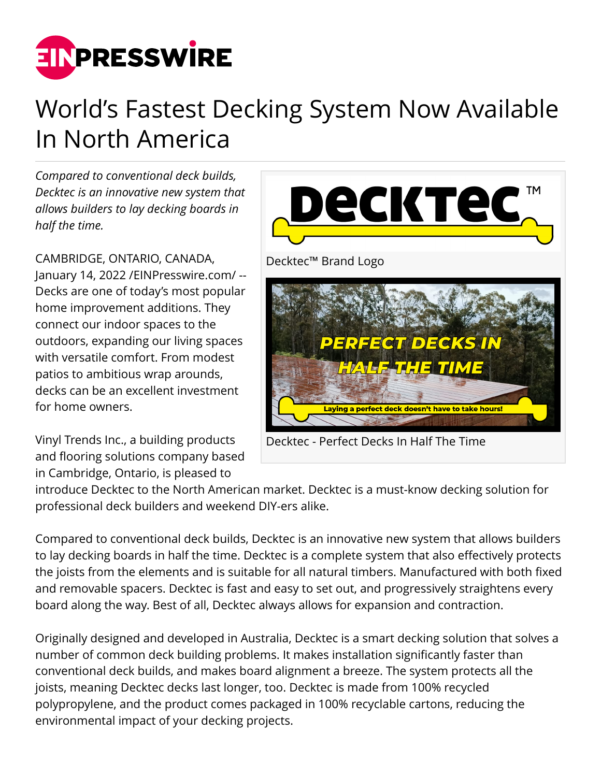

## World's Fastest Decking System Now Available In North America

*Compared to conventional deck builds, Decktec is an innovative new system that allows builders to lay decking boards in half the time.*

CAMBRIDGE, ONTARIO, CANADA, January 14, 2022 /[EINPresswire.com](http://www.einpresswire.com)/ -- Decks are one of today's most popular home improvement additions. They connect our indoor spaces to the outdoors, expanding our living spaces with versatile comfort. From modest patios to ambitious wrap arounds, decks can be an excellent investment for home owners.

Vinyl Trends Inc., a building products and flooring solutions company based in Cambridge, Ontario, is pleased to



Decktec - Perfect Decks In Half The Time

introduce Decktec to the North American market. Decktec is a must-know decking solution for professional deck builders and weekend DIY-ers alike.

Compared to conventional deck builds, Decktec is an innovative new system that allows builders to lay decking boards in half the time. Decktec is a complete system that also effectively protects the joists from the elements and is suitable for all natural timbers. Manufactured with both fixed and removable spacers. Decktec is fast and easy to set out, and progressively straightens every board along the way. Best of all, Decktec always allows for expansion and contraction.

Originally designed and developed in Australia, Decktec is a smart decking solution that solves a number of common deck building problems. It makes installation significantly faster than conventional deck builds, and makes board alignment a breeze. The system protects all the joists, meaning Decktec decks last longer, too. Decktec is made from 100% recycled polypropylene, and the product comes packaged in 100% recyclable cartons, reducing the environmental impact of your decking projects.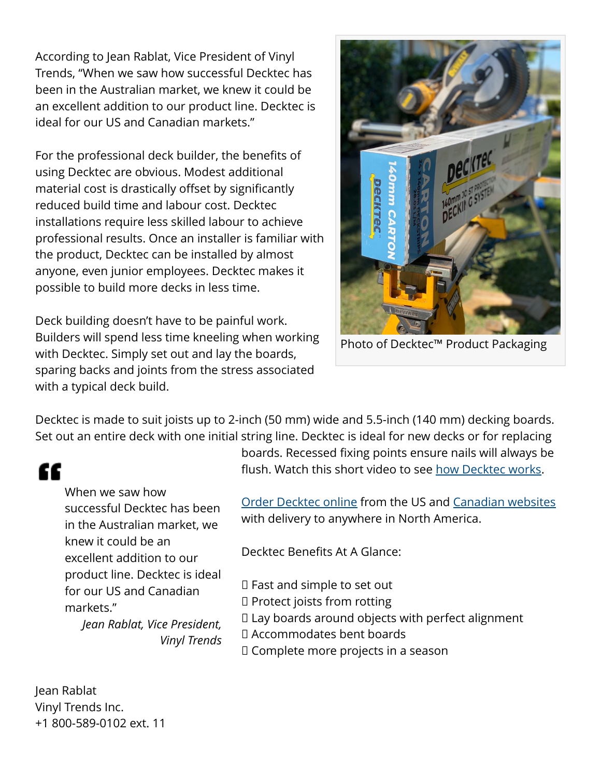According to Jean Rablat, Vice President of Vinyl Trends, "When we saw how successful Decktec has been in the Australian market, we knew it could be an excellent addition to our product line. Decktec is ideal for our US and Canadian markets."

For the professional deck builder, the benefits of using Decktec are obvious. Modest additional material cost is drastically offset by significantly reduced build time and labour cost. Decktec installations require less skilled labour to achieve professional results. Once an installer is familiar with the product, Decktec can be installed by almost anyone, even junior employees. Decktec makes it possible to build more decks in less time.

Deck building doesn't have to be painful work. Builders will spend less time kneeling when working with Decktec. Simply set out and lay the boards, sparing backs and joints from the stress associated with a typical deck build.



Photo of Decktec™ Product Packaging

Decktec is made to suit joists up to 2-inch (50 mm) wide and 5.5-inch (140 mm) decking boards. Set out an entire deck with one initial string line. Decktec is ideal for new decks or for replacing

## "

When we saw how successful Decktec has been in the Australian market, we knew it could be an excellent addition to our product line. Decktec is ideal for our US and Canadian markets." *Jean Rablat, Vice President, Vinyl Trends* boards. Recessed fixing points ensure nails will always be flush. Watch this short video to see [how Decktec works.](https://www.youtube.com/watch?v=vXKuhcNuyrY)

[Order Decktec online](https://www.decktecusa.com/) from the US and [Canadian websites](https://www.decktec.ca/) with delivery to anywhere in North America.

Decktec Benefits At A Glance:

 $\square$  Fast and simple to set out  $\square$  Protect joists from rotting  $\Box$  Lay boards around objects with perfect alignment □ Accommodates bent boards  $\Box$  Complete more projects in a season

Jean Rablat Vinyl Trends Inc. +1 800-589-0102 ext. 11